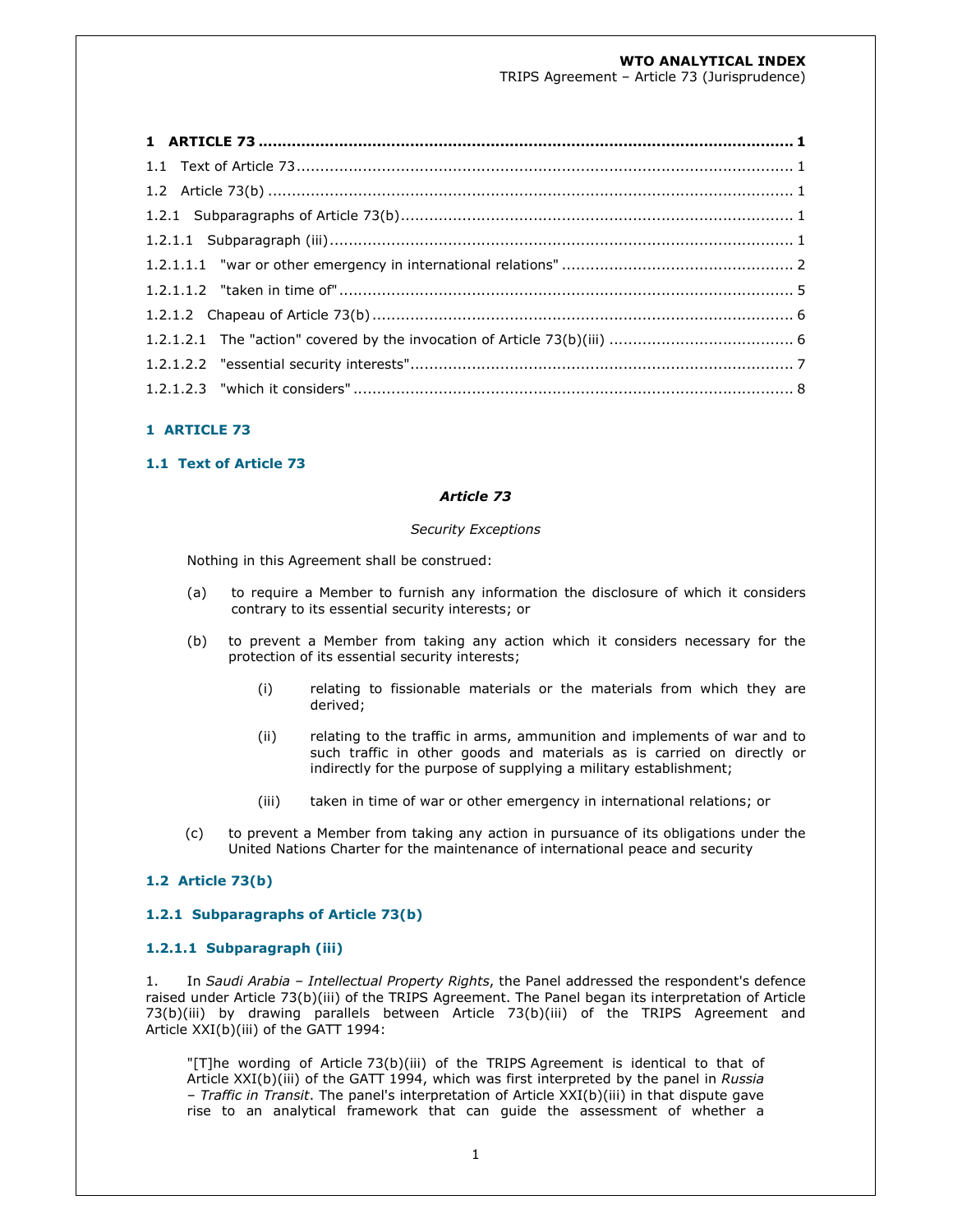# **WTO ANALYTICAL INDEX**

TRIPS Agreement – Article 73 (Jurisprudence)

# **1 ARTICLE 73**

# **1.1 Text of Article 73**

#### *Article 73*

#### *Security Exceptions*

Nothing in this Agreement shall be construed:

- (a) to require a Member to furnish any information the disclosure of which it considers contrary to its essential security interests; or
- (b) to prevent a Member from taking any action which it considers necessary for the protection of its essential security interests;
	- (i) relating to fissionable materials or the materials from which they are derived;
	- (ii) relating to the traffic in arms, ammunition and implements of war and to such traffic in other goods and materials as is carried on directly or indirectly for the purpose of supplying a military establishment;
	- (iii) taken in time of war or other emergency in international relations; or
- (c) to prevent a Member from taking any action in pursuance of its obligations under the United Nations Charter for the maintenance of international peace and security

# **1.2 Article 73(b)**

#### **1.2.1 Subparagraphs of Article 73(b)**

### **1.2.1.1 Subparagraph (iii)**

1. In *Saudi Arabia – Intellectual Property Rights*, the Panel addressed the respondent's defence raised under Article 73(b)(iii) of the TRIPS Agreement. The Panel began its interpretation of Article 73(b)(iii) by drawing parallels between Article 73(b)(iii) of the TRIPS Agreement and Article XXI(b)(iii) of the GATT 1994:

"[T]he wording of Article 73(b)(iii) of the TRIPS Agreement is identical to that of Article XXI(b)(iii) of the GATT 1994, which was first interpreted by the panel in *Russia – Traffic in Transit*. The panel's interpretation of Article XXI(b)(iii) in that dispute gave rise to an analytical framework that can guide the assessment of whether a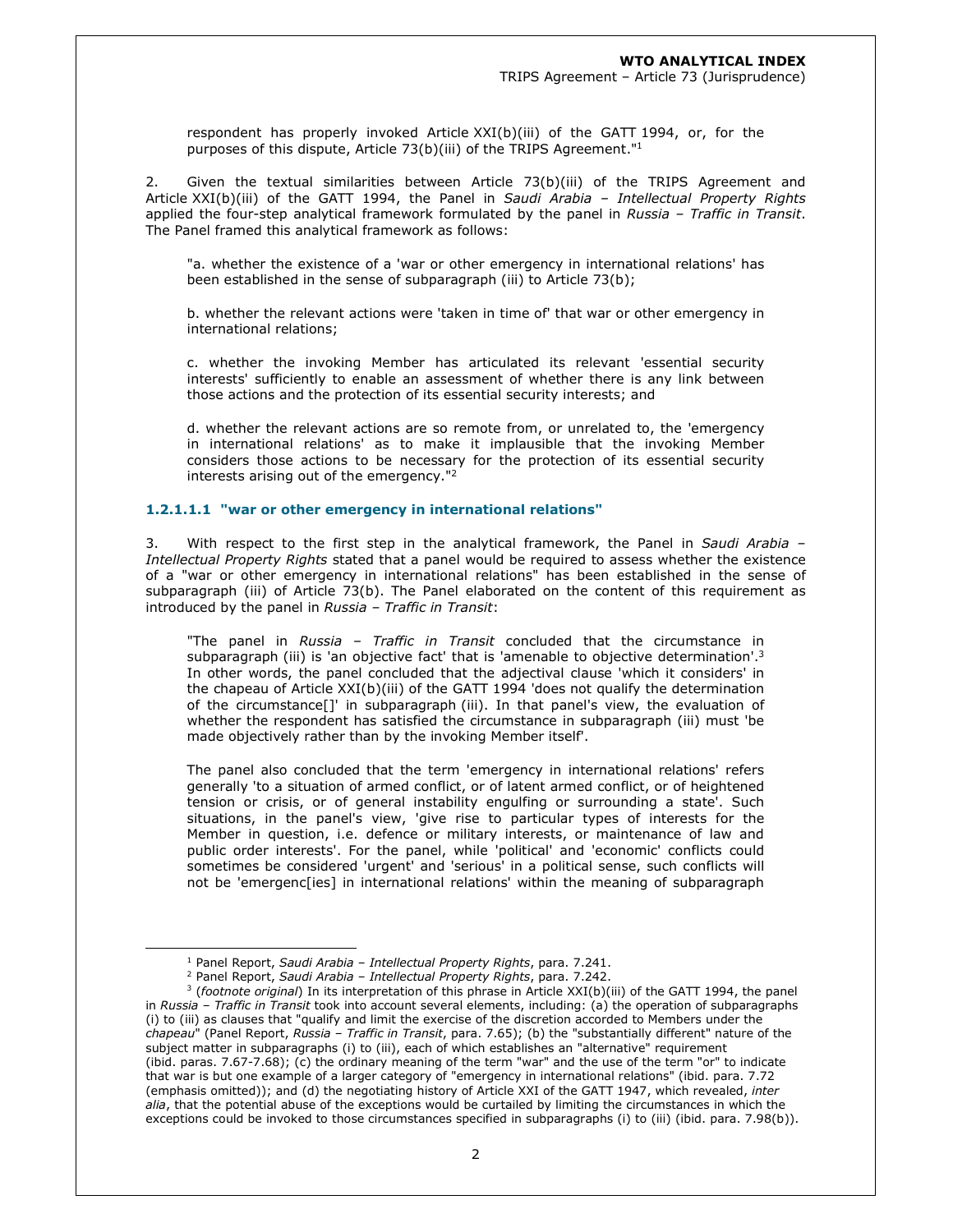respondent has properly invoked Article XXI(b)(iii) of the GATT 1994, or, for the purposes of this dispute, Article 73(b)(iii) of the TRIPS Agreement."<sup>1</sup>

2. Given the textual similarities between Article 73(b)(iii) of the TRIPS Agreement and Article XXI(b)(iii) of the GATT 1994, the Panel in *Saudi Arabia – Intellectual Property Rights*  applied the four-step analytical framework formulated by the panel in *Russia – Traffic in Transit*. The Panel framed this analytical framework as follows:

"a. whether the existence of a 'war or other emergency in international relations' has been established in the sense of subparagraph (iii) to Article 73(b);

b. whether the relevant actions were 'taken in time of' that war or other emergency in international relations;

c. whether the invoking Member has articulated its relevant 'essential security interests' sufficiently to enable an assessment of whether there is any link between those actions and the protection of its essential security interests; and

d. whether the relevant actions are so remote from, or unrelated to, the 'emergency in international relations' as to make it implausible that the invoking Member considers those actions to be necessary for the protection of its essential security interests arising out of the emergency." $2$ 

### **1.2.1.1.1 "war or other emergency in international relations"**

3. With respect to the first step in the analytical framework, the Panel in *Saudi Arabia – Intellectual Property Rights* stated that a panel would be required to assess whether the existence of a "war or other emergency in international relations" has been established in the sense of subparagraph (iii) of Article 73(b). The Panel elaborated on the content of this requirement as introduced by the panel in *Russia – Traffic in Transit*:

"The panel in *Russia – Traffic in Transit* concluded that the circumstance in subparagraph (iii) is 'an objective fact' that is 'amenable to objective determination'.<sup>3</sup> In other words, the panel concluded that the adjectival clause 'which it considers' in the chapeau of Article XXI(b)(iii) of the GATT 1994 'does not qualify the determination of the circumstance[]' in subparagraph (iii). In that panel's view, the evaluation of whether the respondent has satisfied the circumstance in subparagraph (iii) must 'be made objectively rather than by the invoking Member itself'.

The panel also concluded that the term 'emergency in international relations' refers generally 'to a situation of armed conflict, or of latent armed conflict, or of heightened tension or crisis, or of general instability engulfing or surrounding a state'. Such situations, in the panel's view, 'give rise to particular types of interests for the Member in question, i.e. defence or military interests, or maintenance of law and public order interests'. For the panel, while 'political' and 'economic' conflicts could sometimes be considered 'urgent' and 'serious' in a political sense, such conflicts will not be 'emergenc[ies] in international relations' within the meaning of subparagraph

<sup>1</sup> Panel Report, *Saudi Arabia – Intellectual Property Rights*, para. 7.241.

<sup>2</sup> Panel Report, *Saudi Arabia – Intellectual Property Rights*, para. 7.242.

<sup>3</sup> (*footnote original*) In its interpretation of this phrase in Article XXI(b)(iii) of the GATT 1994, the panel in *Russia – Traffic in Transit* took into account several elements, including: (a) the operation of subparagraphs (i) to (iii) as clauses that "qualify and limit the exercise of the discretion accorded to Members under the *chapeau*" (Panel Report, *Russia – Traffic in Transit*, para. 7.65); (b) the "substantially different" nature of the subject matter in subparagraphs (i) to (iii), each of which establishes an "alternative" requirement (ibid. paras. 7.67-7.68); (c) the ordinary meaning of the term "war" and the use of the term "or" to indicate that war is but one example of a larger category of "emergency in international relations" (ibid. para. 7.72 (emphasis omitted)); and (d) the negotiating history of Article XXI of the GATT 1947, which revealed, *inter alia*, that the potential abuse of the exceptions would be curtailed by limiting the circumstances in which the exceptions could be invoked to those circumstances specified in subparagraphs (i) to (iii) (ibid. para. 7.98(b)).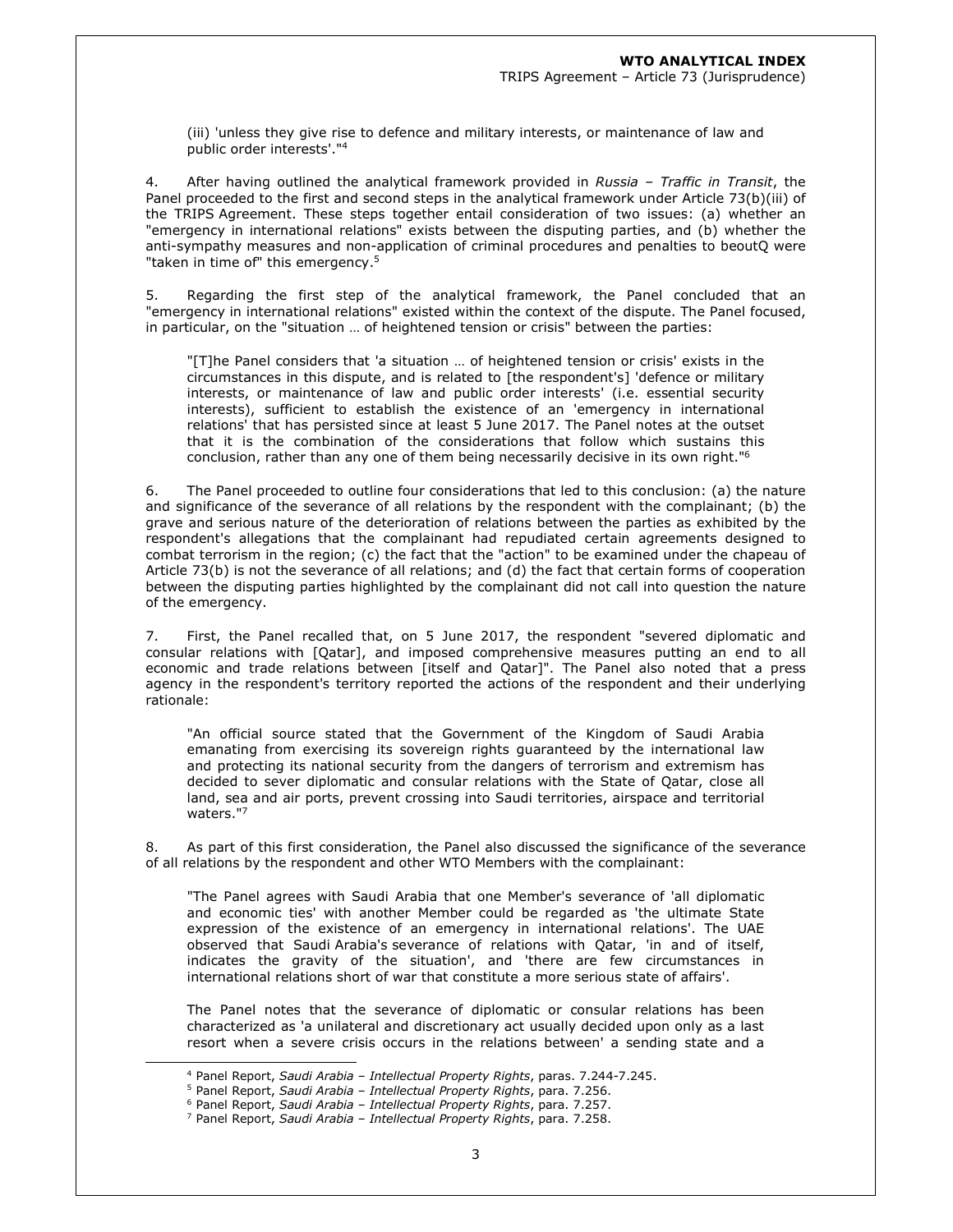(iii) 'unless they give rise to defence and military interests, or maintenance of law and public order interests'."<sup>4</sup>

4. After having outlined the analytical framework provided in *Russia – Traffic in Transit*, the Panel proceeded to the first and second steps in the analytical framework under Article 73(b)(iii) of the TRIPS Agreement. These steps together entail consideration of two issues: (a) whether an "emergency in international relations" exists between the disputing parties, and (b) whether the anti-sympathy measures and non-application of criminal procedures and penalties to beoutQ were "taken in time of" this emergency.<sup>5</sup>

5. Regarding the first step of the analytical framework, the Panel concluded that an "emergency in international relations" existed within the context of the dispute. The Panel focused, in particular, on the "situation … of heightened tension or crisis" between the parties:

"[T]he Panel considers that 'a situation … of heightened tension or crisis' exists in the circumstances in this dispute, and is related to [the respondent's] 'defence or military interests, or maintenance of law and public order interests' (i.e. essential security interests), sufficient to establish the existence of an 'emergency in international relations' that has persisted since at least 5 June 2017. The Panel notes at the outset that it is the combination of the considerations that follow which sustains this conclusion, rather than any one of them being necessarily decisive in its own right."<sup>6</sup>

6. The Panel proceeded to outline four considerations that led to this conclusion: (a) the nature and significance of the severance of all relations by the respondent with the complainant; (b) the grave and serious nature of the deterioration of relations between the parties as exhibited by the respondent's allegations that the complainant had repudiated certain agreements designed to combat terrorism in the region; (c) the fact that the "action" to be examined under the chapeau of Article 73(b) is not the severance of all relations; and (d) the fact that certain forms of cooperation between the disputing parties highlighted by the complainant did not call into question the nature of the emergency.

7. First, the Panel recalled that, on 5 June 2017, the respondent "severed diplomatic and consular relations with [Qatar], and imposed comprehensive measures putting an end to all economic and trade relations between [itself and Qatar]". The Panel also noted that a press agency in the respondent's territory reported the actions of the respondent and their underlying rationale:

"An official source stated that the Government of the Kingdom of Saudi Arabia emanating from exercising its sovereign rights guaranteed by the international law and protecting its national security from the dangers of terrorism and extremism has decided to sever diplomatic and consular relations with the State of Qatar, close all land, sea and air ports, prevent crossing into Saudi territories, airspace and territorial waters."<sup>7</sup>

8. As part of this first consideration, the Panel also discussed the significance of the severance of all relations by the respondent and other WTO Members with the complainant:

"The Panel agrees with Saudi Arabia that one Member's severance of 'all diplomatic and economic ties' with another Member could be regarded as 'the ultimate State expression of the existence of an emergency in international relations'. The UAE observed that Saudi Arabia's severance of relations with Qatar, 'in and of itself, indicates the gravity of the situation', and 'there are few circumstances in international relations short of war that constitute a more serious state of affairs'.

The Panel notes that the severance of diplomatic or consular relations has been characterized as 'a unilateral and discretionary act usually decided upon only as a last resort when a severe crisis occurs in the relations between' a sending state and a

<sup>4</sup> Panel Report, *Saudi Arabia – Intellectual Property Rights*, paras. 7.244-7.245.

<sup>5</sup> Panel Report, *Saudi Arabia – Intellectual Property Rights*, para. 7.256.

<sup>6</sup> Panel Report, *Saudi Arabia – Intellectual Property Rights*, para. 7.257.

<sup>7</sup> Panel Report, *Saudi Arabia – Intellectual Property Rights*, para. 7.258.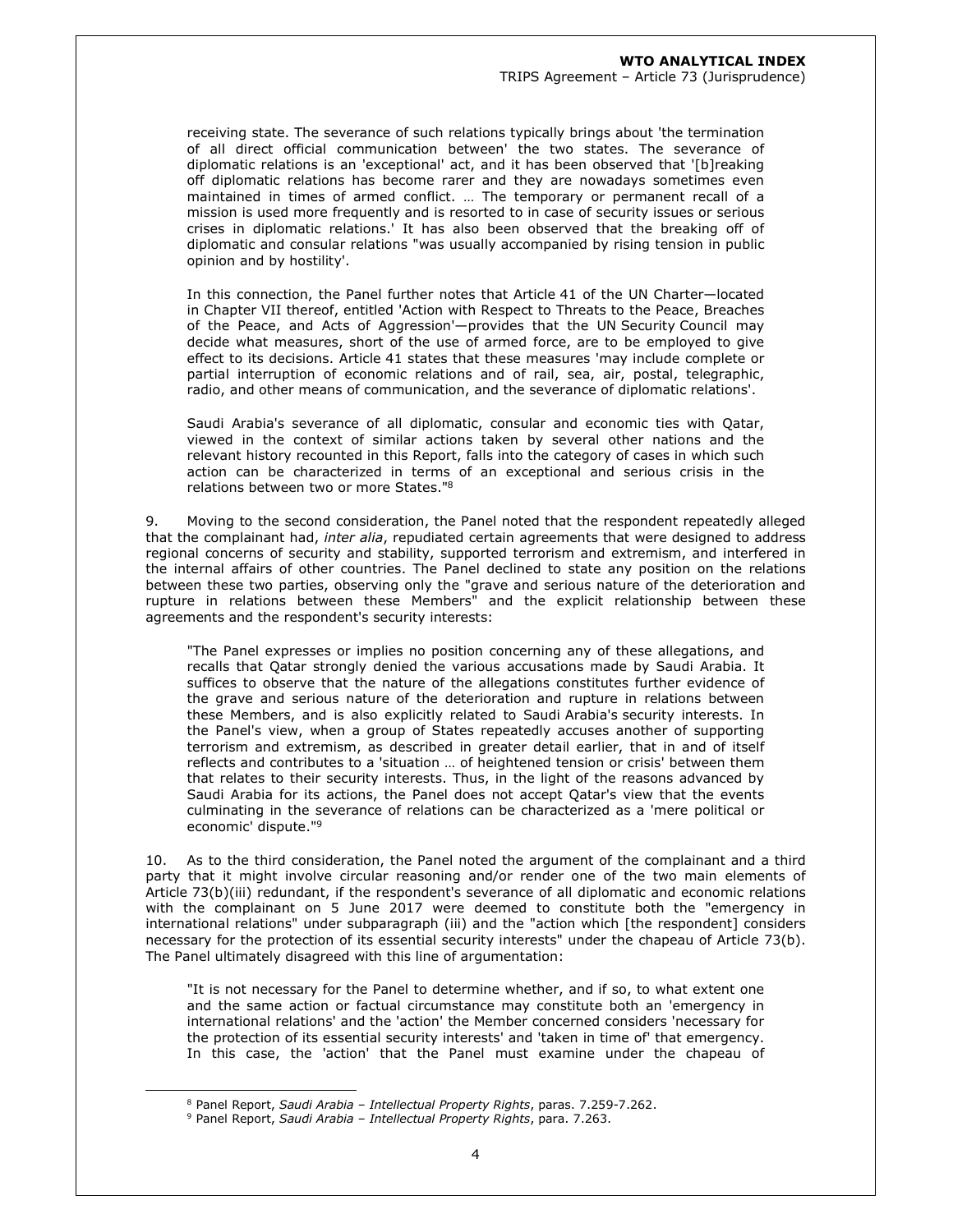receiving state. The severance of such relations typically brings about 'the termination of all direct official communication between' the two states. The severance of diplomatic relations is an 'exceptional' act, and it has been observed that '[b]reaking off diplomatic relations has become rarer and they are nowadays sometimes even maintained in times of armed conflict. … The temporary or permanent recall of a mission is used more frequently and is resorted to in case of security issues or serious crises in diplomatic relations.' It has also been observed that the breaking off of diplomatic and consular relations "was usually accompanied by rising tension in public opinion and by hostility'.

In this connection, the Panel further notes that Article 41 of the UN Charter—located in Chapter VII thereof, entitled 'Action with Respect to Threats to the Peace, Breaches of the Peace, and Acts of Aggression'—provides that the UN Security Council may decide what measures, short of the use of armed force, are to be employed to give effect to its decisions. Article 41 states that these measures 'may include complete or partial interruption of economic relations and of rail, sea, air, postal, telegraphic, radio, and other means of communication, and the severance of diplomatic relations'.

Saudi Arabia's severance of all diplomatic, consular and economic ties with Qatar, viewed in the context of similar actions taken by several other nations and the relevant history recounted in this Report, falls into the category of cases in which such action can be characterized in terms of an exceptional and serious crisis in the relations between two or more States."<sup>8</sup>

9. Moving to the second consideration, the Panel noted that the respondent repeatedly alleged that the complainant had, *inter alia*, repudiated certain agreements that were designed to address regional concerns of security and stability, supported terrorism and extremism, and interfered in the internal affairs of other countries. The Panel declined to state any position on the relations between these two parties, observing only the "grave and serious nature of the deterioration and rupture in relations between these Members" and the explicit relationship between these agreements and the respondent's security interests:

"The Panel expresses or implies no position concerning any of these allegations, and recalls that Qatar strongly denied the various accusations made by Saudi Arabia. It suffices to observe that the nature of the allegations constitutes further evidence of the grave and serious nature of the deterioration and rupture in relations between these Members, and is also explicitly related to Saudi Arabia's security interests. In the Panel's view, when a group of States repeatedly accuses another of supporting terrorism and extremism, as described in greater detail earlier, that in and of itself reflects and contributes to a 'situation … of heightened tension or crisis' between them that relates to their security interests. Thus, in the light of the reasons advanced by Saudi Arabia for its actions, the Panel does not accept Qatar's view that the events culminating in the severance of relations can be characterized as a 'mere political or economic' dispute."<sup>9</sup>

10. As to the third consideration, the Panel noted the argument of the complainant and a third party that it might involve circular reasoning and/or render one of the two main elements of Article 73(b)(iii) redundant, if the respondent's severance of all diplomatic and economic relations with the complainant on 5 June 2017 were deemed to constitute both the "emergency in international relations" under subparagraph (iii) and the "action which [the respondent] considers necessary for the protection of its essential security interests" under the chapeau of Article 73(b). The Panel ultimately disagreed with this line of argumentation:

"It is not necessary for the Panel to determine whether, and if so, to what extent one and the same action or factual circumstance may constitute both an 'emergency in international relations' and the 'action' the Member concerned considers 'necessary for the protection of its essential security interests' and 'taken in time of' that emergency. In this case, the 'action' that the Panel must examine under the chapeau of

<sup>8</sup> Panel Report, *Saudi Arabia – Intellectual Property Rights*, paras. 7.259-7.262.

<sup>9</sup> Panel Report, *Saudi Arabia – Intellectual Property Rights*, para. 7.263.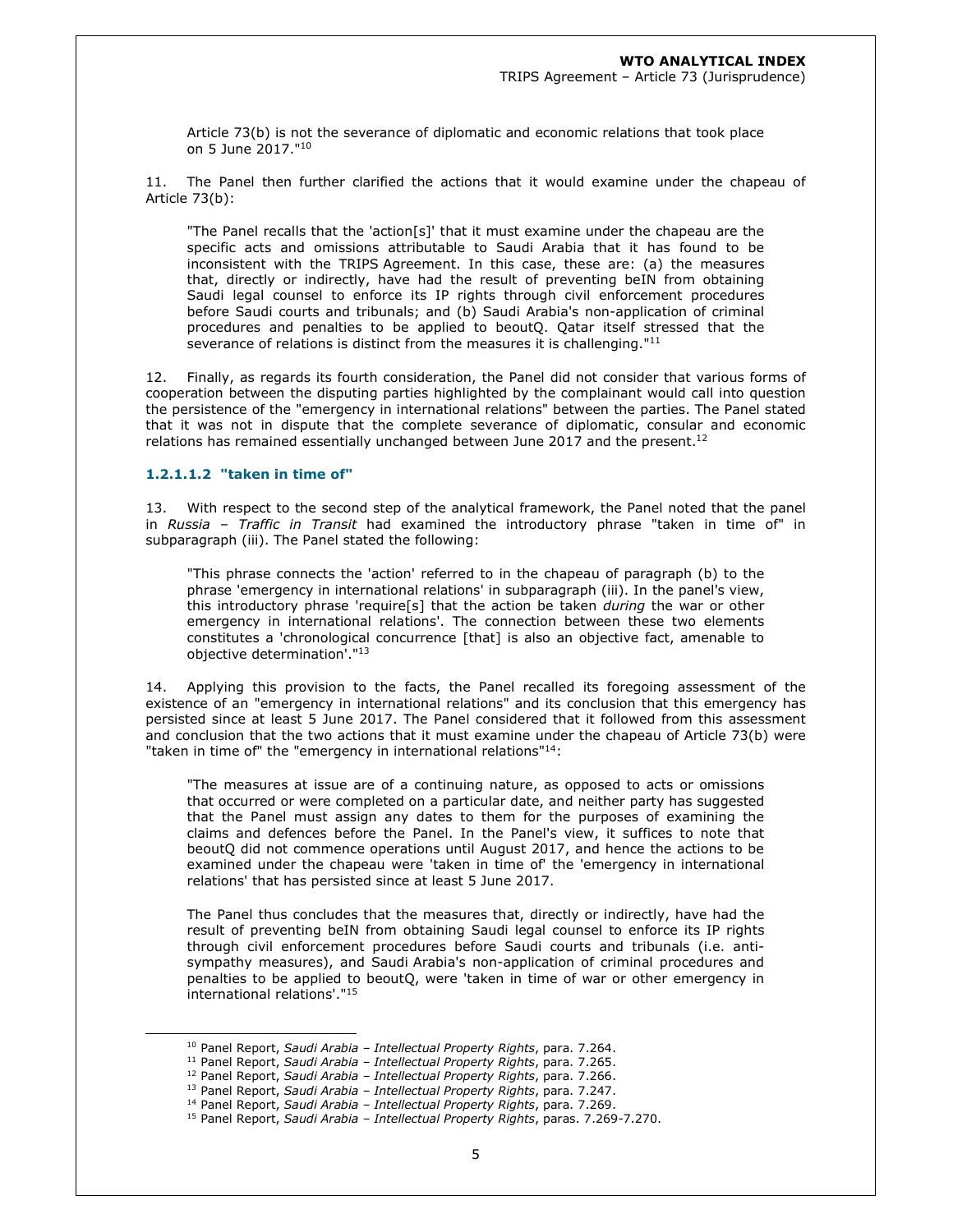Article 73(b) is not the severance of diplomatic and economic relations that took place on 5 June 2017."<sup>10</sup>

11. The Panel then further clarified the actions that it would examine under the chapeau of Article 73(b):

"The Panel recalls that the 'action[s]' that it must examine under the chapeau are the specific acts and omissions attributable to Saudi Arabia that it has found to be inconsistent with the TRIPS Agreement. In this case, these are: (a) the measures that, directly or indirectly, have had the result of preventing beIN from obtaining Saudi legal counsel to enforce its IP rights through civil enforcement procedures before Saudi courts and tribunals; and (b) Saudi Arabia's non-application of criminal procedures and penalties to be applied to beoutQ. Qatar itself stressed that the severance of relations is distinct from the measures it is challenging."<sup>11</sup>

12. Finally, as regards its fourth consideration, the Panel did not consider that various forms of cooperation between the disputing parties highlighted by the complainant would call into question the persistence of the "emergency in international relations" between the parties. The Panel stated that it was not in dispute that the complete severance of diplomatic, consular and economic relations has remained essentially unchanged between June 2017 and the present.<sup>12</sup>

#### **1.2.1.1.2 "taken in time of"**

13. With respect to the second step of the analytical framework, the Panel noted that the panel in *Russia – Traffic in Transit* had examined the introductory phrase "taken in time of" in subparagraph (iii). The Panel stated the following:

"This phrase connects the 'action' referred to in the chapeau of paragraph (b) to the phrase 'emergency in international relations' in subparagraph (iii). In the panel's view, this introductory phrase 'require[s] that the action be taken *during* the war or other emergency in international relations'. The connection between these two elements constitutes a 'chronological concurrence [that] is also an objective fact, amenable to objective determination'."<sup>13</sup>

14. Applying this provision to the facts, the Panel recalled its foregoing assessment of the existence of an "emergency in international relations" and its conclusion that this emergency has persisted since at least 5 June 2017. The Panel considered that it followed from this assessment and conclusion that the two actions that it must examine under the chapeau of Article 73(b) were "taken in time of" the "emergency in international relations"<sup>14</sup>:

"The measures at issue are of a continuing nature, as opposed to acts or omissions that occurred or were completed on a particular date, and neither party has suggested that the Panel must assign any dates to them for the purposes of examining the claims and defences before the Panel. In the Panel's view, it suffices to note that beoutQ did not commence operations until August 2017, and hence the actions to be examined under the chapeau were 'taken in time of' the 'emergency in international relations' that has persisted since at least 5 June 2017.

The Panel thus concludes that the measures that, directly or indirectly, have had the result of preventing beIN from obtaining Saudi legal counsel to enforce its IP rights through civil enforcement procedures before Saudi courts and tribunals (i.e. antisympathy measures), and Saudi Arabia's non-application of criminal procedures and penalties to be applied to beoutQ, were 'taken in time of war or other emergency in international relations'."<sup>15</sup>

<sup>10</sup> Panel Report, *Saudi Arabia – Intellectual Property Rights*, para. 7.264.

<sup>11</sup> Panel Report, *Saudi Arabia – Intellectual Property Rights*, para. 7.265.

<sup>12</sup> Panel Report, *Saudi Arabia – Intellectual Property Rights*, para. 7.266.

<sup>13</sup> Panel Report, *Saudi Arabia – Intellectual Property Rights*, para. 7.247. <sup>14</sup> Panel Report, *Saudi Arabia – Intellectual Property Rights*, para. 7.269.

<sup>15</sup> Panel Report, *Saudi Arabia – Intellectual Property Rights*, paras. 7.269-7.270.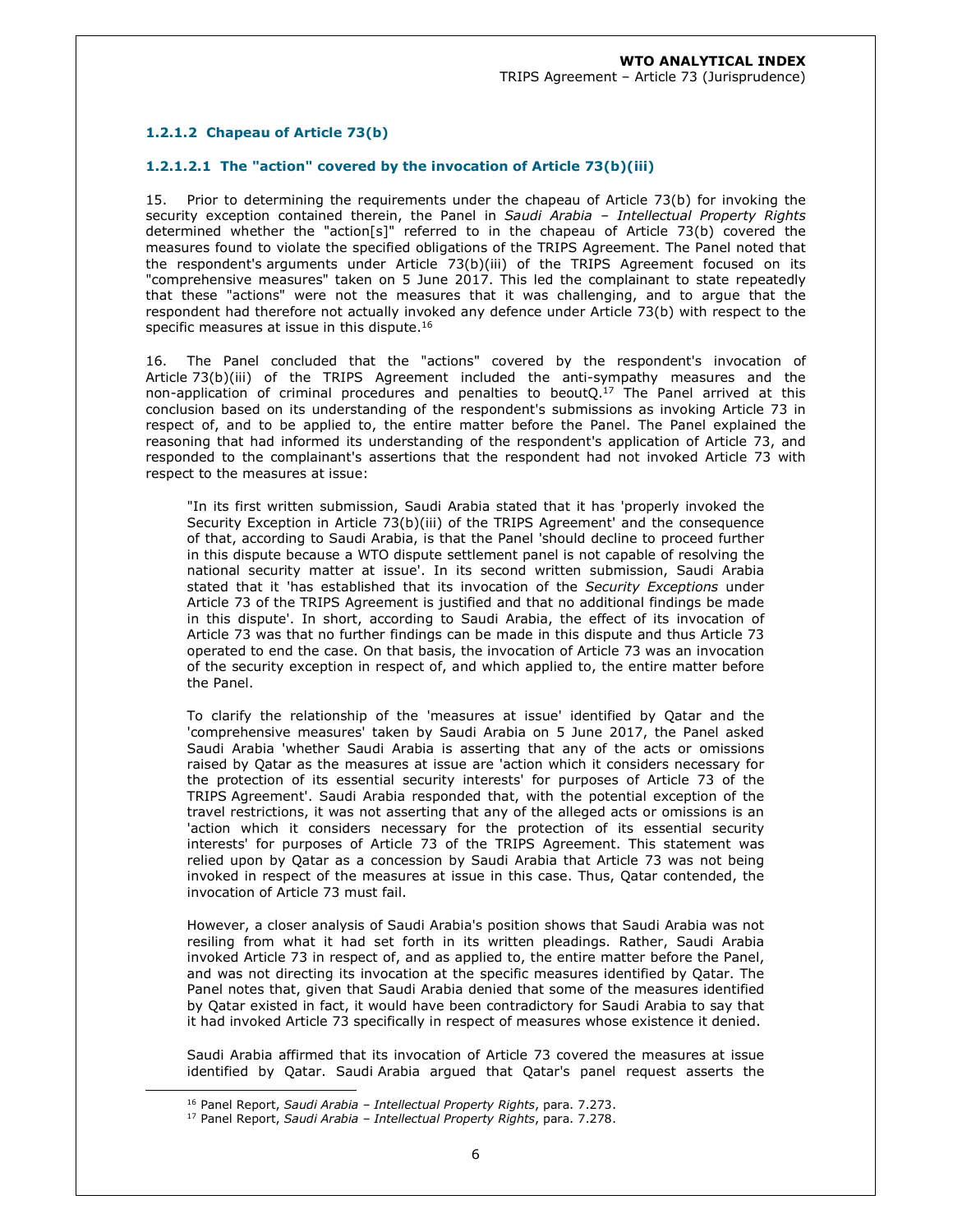# **1.2.1.2 Chapeau of Article 73(b)**

### **1.2.1.2.1 The "action" covered by the invocation of Article 73(b)(iii)**

15. Prior to determining the requirements under the chapeau of Article 73(b) for invoking the security exception contained therein, the Panel in *Saudi Arabia – Intellectual Property Rights* determined whether the "action[s]" referred to in the chapeau of Article 73(b) covered the measures found to violate the specified obligations of the TRIPS Agreement. The Panel noted that the respondent's arguments under Article 73(b)(iii) of the TRIPS Agreement focused on its "comprehensive measures" taken on 5 June 2017. This led the complainant to state repeatedly that these "actions" were not the measures that it was challenging, and to argue that the respondent had therefore not actually invoked any defence under Article 73(b) with respect to the specific measures at issue in this dispute.<sup>16</sup>

16. The Panel concluded that the "actions" covered by the respondent's invocation of Article 73(b)(iii) of the TRIPS Agreement included the anti-sympathy measures and the non-application of criminal procedures and penalties to beout $Q<sup>17</sup>$  The Panel arrived at this conclusion based on its understanding of the respondent's submissions as invoking Article 73 in respect of, and to be applied to, the entire matter before the Panel. The Panel explained the reasoning that had informed its understanding of the respondent's application of Article 73, and responded to the complainant's assertions that the respondent had not invoked Article 73 with respect to the measures at issue:

"In its first written submission, Saudi Arabia stated that it has 'properly invoked the Security Exception in Article 73(b)(iii) of the TRIPS Agreement' and the consequence of that, according to Saudi Arabia, is that the Panel 'should decline to proceed further in this dispute because a WTO dispute settlement panel is not capable of resolving the national security matter at issue'. In its second written submission, Saudi Arabia stated that it 'has established that its invocation of the *Security Exceptions* under Article 73 of the TRIPS Agreement is justified and that no additional findings be made in this dispute'. In short, according to Saudi Arabia, the effect of its invocation of Article 73 was that no further findings can be made in this dispute and thus Article 73 operated to end the case. On that basis, the invocation of Article 73 was an invocation of the security exception in respect of, and which applied to, the entire matter before the Panel.

To clarify the relationship of the 'measures at issue' identified by Qatar and the 'comprehensive measures' taken by Saudi Arabia on 5 June 2017, the Panel asked Saudi Arabia 'whether Saudi Arabia is asserting that any of the acts or omissions raised by Qatar as the measures at issue are 'action which it considers necessary for the protection of its essential security interests' for purposes of Article 73 of the TRIPS Agreement'. Saudi Arabia responded that, with the potential exception of the travel restrictions, it was not asserting that any of the alleged acts or omissions is an 'action which it considers necessary for the protection of its essential security interests' for purposes of Article 73 of the TRIPS Agreement. This statement was relied upon by Qatar as a concession by Saudi Arabia that Article 73 was not being invoked in respect of the measures at issue in this case. Thus, Qatar contended, the invocation of Article 73 must fail.

However, a closer analysis of Saudi Arabia's position shows that Saudi Arabia was not resiling from what it had set forth in its written pleadings. Rather, Saudi Arabia invoked Article 73 in respect of, and as applied to, the entire matter before the Panel, and was not directing its invocation at the specific measures identified by Qatar. The Panel notes that, given that Saudi Arabia denied that some of the measures identified by Qatar existed in fact, it would have been contradictory for Saudi Arabia to say that it had invoked Article 73 specifically in respect of measures whose existence it denied.

Saudi Arabia affirmed that its invocation of Article 73 covered the measures at issue identified by Qatar. Saudi Arabia argued that Qatar's panel request asserts the

<sup>16</sup> Panel Report, *Saudi Arabia – Intellectual Property Rights*, para. 7.273.

<sup>17</sup> Panel Report, *Saudi Arabia – Intellectual Property Rights*, para. 7.278.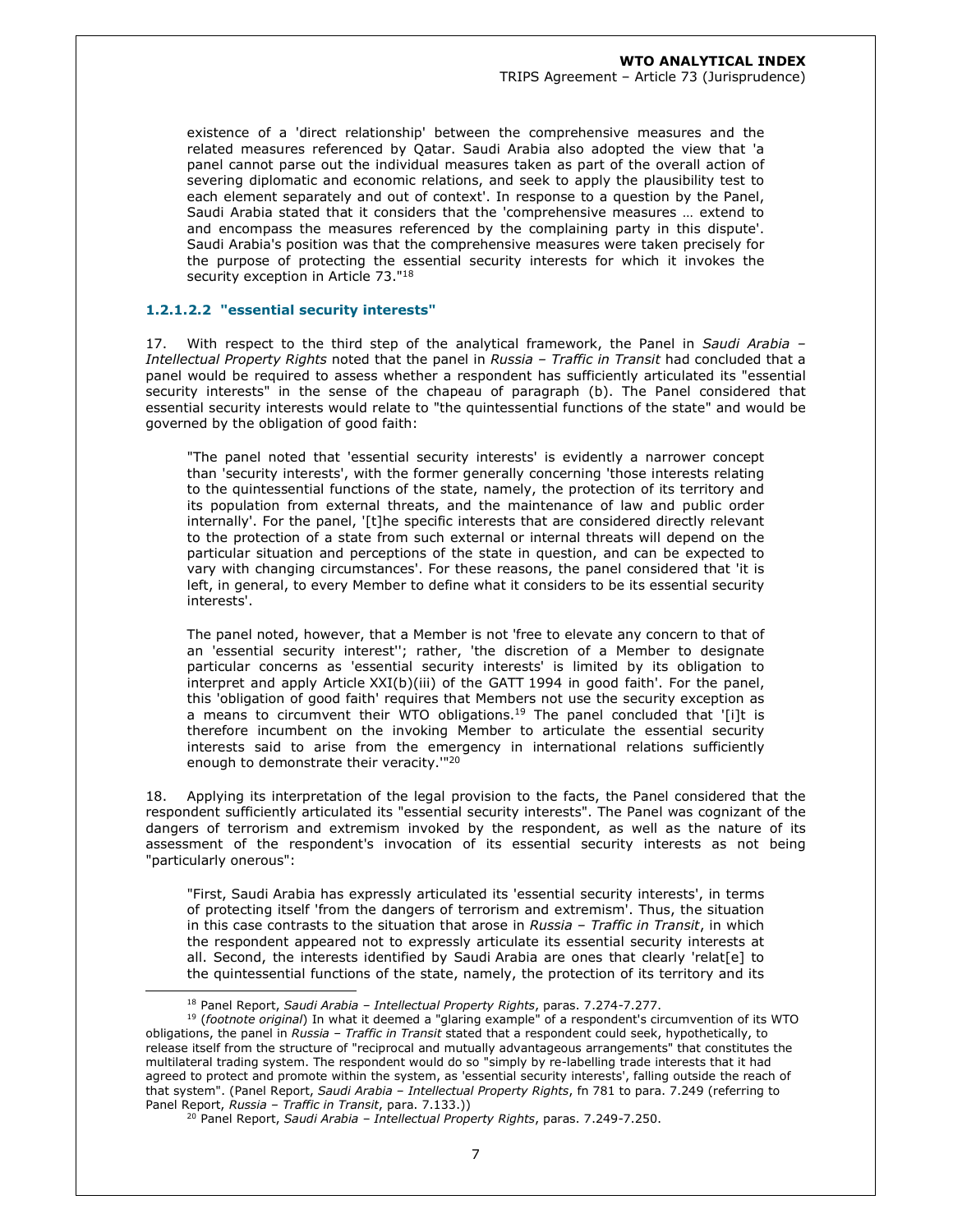existence of a 'direct relationship' between the comprehensive measures and the related measures referenced by Qatar. Saudi Arabia also adopted the view that 'a panel cannot parse out the individual measures taken as part of the overall action of severing diplomatic and economic relations, and seek to apply the plausibility test to each element separately and out of context'. In response to a question by the Panel, Saudi Arabia stated that it considers that the 'comprehensive measures … extend to and encompass the measures referenced by the complaining party in this dispute'. Saudi Arabia's position was that the comprehensive measures were taken precisely for the purpose of protecting the essential security interests for which it invokes the security exception in Article 73."<sup>18</sup>

### **1.2.1.2.2 "essential security interests"**

17. With respect to the third step of the analytical framework, the Panel in *Saudi Arabia – Intellectual Property Rights* noted that the panel in *Russia – Traffic in Transit* had concluded that a panel would be required to assess whether a respondent has sufficiently articulated its "essential security interests" in the sense of the chapeau of paragraph (b). The Panel considered that essential security interests would relate to "the quintessential functions of the state" and would be governed by the obligation of good faith:

"The panel noted that 'essential security interests' is evidently a narrower concept than 'security interests', with the former generally concerning 'those interests relating to the quintessential functions of the state, namely, the protection of its territory and its population from external threats, and the maintenance of law and public order internally'. For the panel, '[t]he specific interests that are considered directly relevant to the protection of a state from such external or internal threats will depend on the particular situation and perceptions of the state in question, and can be expected to vary with changing circumstances'. For these reasons, the panel considered that 'it is left, in general, to every Member to define what it considers to be its essential security interests'.

The panel noted, however, that a Member is not 'free to elevate any concern to that of an 'essential security interest''; rather, 'the discretion of a Member to designate particular concerns as 'essential security interests' is limited by its obligation to interpret and apply Article XXI(b)(iii) of the GATT 1994 in good faith'. For the panel, this 'obligation of good faith' requires that Members not use the security exception as a means to circumvent their WTO obligations.<sup>19</sup> The panel concluded that '[i]t is therefore incumbent on the invoking Member to articulate the essential security interests said to arise from the emergency in international relations sufficiently enough to demonstrate their veracity.<sup>"20</sup>

18. Applying its interpretation of the legal provision to the facts, the Panel considered that the respondent sufficiently articulated its "essential security interests". The Panel was cognizant of the dangers of terrorism and extremism invoked by the respondent, as well as the nature of its assessment of the respondent's invocation of its essential security interests as not being "particularly onerous":

"First, Saudi Arabia has expressly articulated its 'essential security interests', in terms of protecting itself 'from the dangers of terrorism and extremism'. Thus, the situation in this case contrasts to the situation that arose in *Russia – Traffic in Transit*, in which the respondent appeared not to expressly articulate its essential security interests at all. Second, the interests identified by Saudi Arabia are ones that clearly 'relat[e] to the quintessential functions of the state, namely, the protection of its territory and its

<sup>18</sup> Panel Report, *Saudi Arabia – Intellectual Property Rights*, paras. 7.274-7.277.

<sup>19</sup> (*footnote original*) In what it deemed a "glaring example" of a respondent's circumvention of its WTO obligations, the panel in *Russia – Traffic in Transit* stated that a respondent could seek, hypothetically, to release itself from the structure of "reciprocal and mutually advantageous arrangements" that constitutes the multilateral trading system. The respondent would do so "simply by re-labelling trade interests that it had agreed to protect and promote within the system, as 'essential security interests', falling outside the reach of that system". (Panel Report, *Saudi Arabia – Intellectual Property Rights*, fn 781 to para. 7.249 (referring to Panel Report, *Russia – Traffic in Transit*, para. 7.133.))

<sup>20</sup> Panel Report, *Saudi Arabia – Intellectual Property Rights*, paras. 7.249-7.250.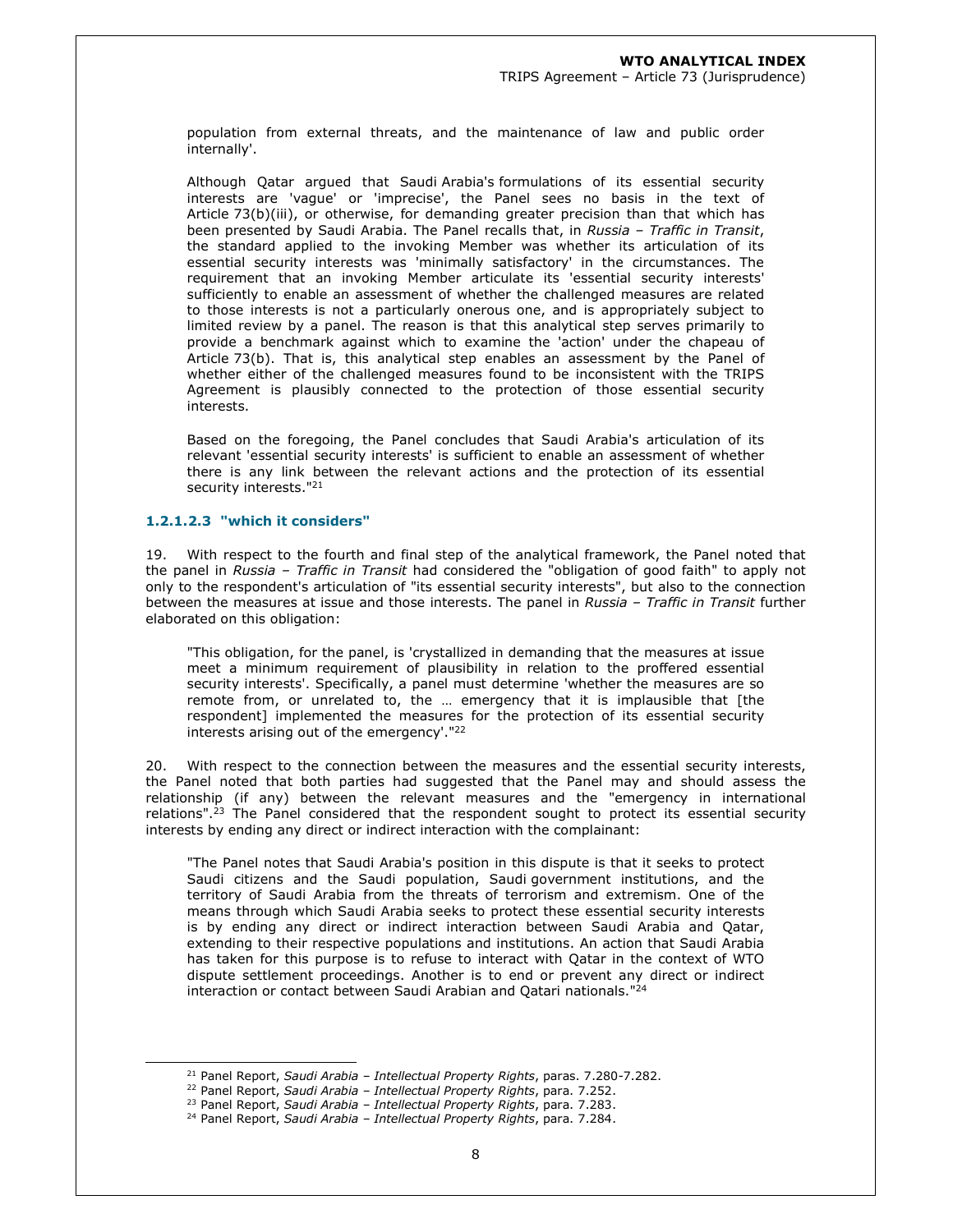population from external threats, and the maintenance of law and public order internally'.

Although Qatar argued that Saudi Arabia's formulations of its essential security interests are 'vague' or 'imprecise', the Panel sees no basis in the text of Article 73(b)(iii), or otherwise, for demanding greater precision than that which has been presented by Saudi Arabia. The Panel recalls that, in *Russia – Traffic in Transit*, the standard applied to the invoking Member was whether its articulation of its essential security interests was 'minimally satisfactory' in the circumstances. The requirement that an invoking Member articulate its 'essential security interests' sufficiently to enable an assessment of whether the challenged measures are related to those interests is not a particularly onerous one, and is appropriately subject to limited review by a panel. The reason is that this analytical step serves primarily to provide a benchmark against which to examine the 'action' under the chapeau of Article 73(b). That is, this analytical step enables an assessment by the Panel of whether either of the challenged measures found to be inconsistent with the TRIPS Agreement is plausibly connected to the protection of those essential security interests.

Based on the foregoing, the Panel concludes that Saudi Arabia's articulation of its relevant 'essential security interests' is sufficient to enable an assessment of whether there is any link between the relevant actions and the protection of its essential security interests."<sup>21</sup>

### **1.2.1.2.3 "which it considers"**

19. With respect to the fourth and final step of the analytical framework, the Panel noted that the panel in *Russia – Traffic in Transit* had considered the "obligation of good faith" to apply not only to the respondent's articulation of "its essential security interests", but also to the connection between the measures at issue and those interests. The panel in *Russia – Traffic in Transit* further elaborated on this obligation:

"This obligation, for the panel, is 'crystallized in demanding that the measures at issue meet a minimum requirement of plausibility in relation to the proffered essential security interests'. Specifically, a panel must determine 'whether the measures are so remote from, or unrelated to, the … emergency that it is implausible that [the respondent] implemented the measures for the protection of its essential security interests arising out of the emergency'."<sup>22</sup>

20. With respect to the connection between the measures and the essential security interests, the Panel noted that both parties had suggested that the Panel may and should assess the relationship (if any) between the relevant measures and the "emergency in international relations".<sup>23</sup> The Panel considered that the respondent sought to protect its essential security interests by ending any direct or indirect interaction with the complainant:

"The Panel notes that Saudi Arabia's position in this dispute is that it seeks to protect Saudi citizens and the Saudi population, Saudi government institutions, and the territory of Saudi Arabia from the threats of terrorism and extremism. One of the means through which Saudi Arabia seeks to protect these essential security interests is by ending any direct or indirect interaction between Saudi Arabia and Qatar, extending to their respective populations and institutions. An action that Saudi Arabia has taken for this purpose is to refuse to interact with Qatar in the context of WTO dispute settlement proceedings. Another is to end or prevent any direct or indirect interaction or contact between Saudi Arabian and Qatari nationals."<sup>24</sup>

<sup>21</sup> Panel Report, *Saudi Arabia – Intellectual Property Rights*, paras. 7.280-7.282.

<sup>22</sup> Panel Report, *Saudi Arabia – Intellectual Property Rights*, para. 7.252.

<sup>23</sup> Panel Report, *Saudi Arabia – Intellectual Property Rights*, para. 7.283.

<sup>24</sup> Panel Report, *Saudi Arabia – Intellectual Property Rights*, para. 7.284.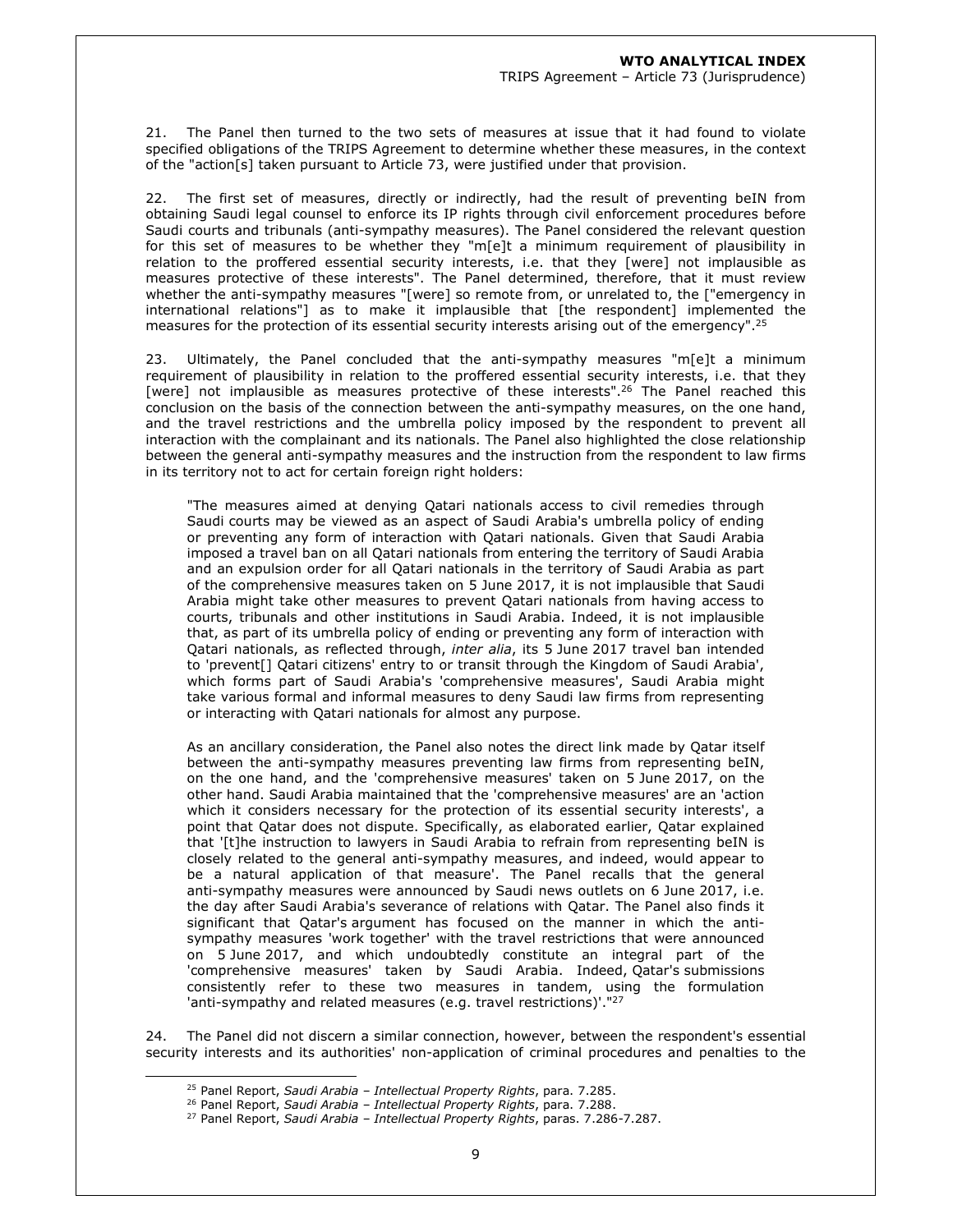21. The Panel then turned to the two sets of measures at issue that it had found to violate specified obligations of the TRIPS Agreement to determine whether these measures, in the context of the "action[s] taken pursuant to Article 73, were justified under that provision.

22. The first set of measures, directly or indirectly, had the result of preventing beIN from obtaining Saudi legal counsel to enforce its IP rights through civil enforcement procedures before Saudi courts and tribunals (anti-sympathy measures). The Panel considered the relevant question for this set of measures to be whether they "m[e]t a minimum requirement of plausibility in relation to the proffered essential security interests, i.e. that they [were] not implausible as measures protective of these interests". The Panel determined, therefore, that it must review whether the anti-sympathy measures "[were] so remote from, or unrelated to, the ["emergency in international relations"] as to make it implausible that [the respondent] implemented the measures for the protection of its essential security interests arising out of the emergency".<sup>25</sup>

23. Ultimately, the Panel concluded that the anti-sympathy measures "m $[e]$ t a minimum requirement of plausibility in relation to the proffered essential security interests, i.e. that they [were] not implausible as measures protective of these interests".<sup>26</sup> The Panel reached this conclusion on the basis of the connection between the anti-sympathy measures, on the one hand, and the travel restrictions and the umbrella policy imposed by the respondent to prevent all interaction with the complainant and its nationals. The Panel also highlighted the close relationship between the general anti-sympathy measures and the instruction from the respondent to law firms in its territory not to act for certain foreign right holders:

"The measures aimed at denying Qatari nationals access to civil remedies through Saudi courts may be viewed as an aspect of Saudi Arabia's umbrella policy of ending or preventing any form of interaction with Qatari nationals. Given that Saudi Arabia imposed a travel ban on all Qatari nationals from entering the territory of Saudi Arabia and an expulsion order for all Qatari nationals in the territory of Saudi Arabia as part of the comprehensive measures taken on 5 June 2017, it is not implausible that Saudi Arabia might take other measures to prevent Qatari nationals from having access to courts, tribunals and other institutions in Saudi Arabia. Indeed, it is not implausible that, as part of its umbrella policy of ending or preventing any form of interaction with Qatari nationals, as reflected through, *inter alia*, its 5 June 2017 travel ban intended to 'prevent[] Qatari citizens' entry to or transit through the Kingdom of Saudi Arabia', which forms part of Saudi Arabia's 'comprehensive measures', Saudi Arabia might take various formal and informal measures to deny Saudi law firms from representing or interacting with Qatari nationals for almost any purpose.

As an ancillary consideration, the Panel also notes the direct link made by Qatar itself between the anti-sympathy measures preventing law firms from representing beIN, on the one hand, and the 'comprehensive measures' taken on 5 June 2017, on the other hand. Saudi Arabia maintained that the 'comprehensive measures' are an 'action which it considers necessary for the protection of its essential security interests', a point that Qatar does not dispute. Specifically, as elaborated earlier, Qatar explained that '[t]he instruction to lawyers in Saudi Arabia to refrain from representing beIN is closely related to the general anti-sympathy measures, and indeed, would appear to be a natural application of that measure'. The Panel recalls that the general anti-sympathy measures were announced by Saudi news outlets on 6 June 2017, i.e. the day after Saudi Arabia's severance of relations with Qatar. The Panel also finds it significant that Qatar's argument has focused on the manner in which the antisympathy measures 'work together' with the travel restrictions that were announced on 5 June 2017, and which undoubtedly constitute an integral part of the 'comprehensive measures' taken by Saudi Arabia. Indeed, Qatar's submissions consistently refer to these two measures in tandem, using the formulation 'anti-sympathy and related measures (e.g. travel restrictions)'."<sup>27</sup>

24. The Panel did not discern a similar connection, however, between the respondent's essential security interests and its authorities' non-application of criminal procedures and penalties to the

<sup>25</sup> Panel Report, *Saudi Arabia – Intellectual Property Rights*, para. 7.285.

<sup>26</sup> Panel Report, *Saudi Arabia – Intellectual Property Rights*, para. 7.288.

<sup>27</sup> Panel Report, *Saudi Arabia – Intellectual Property Rights*, paras. 7.286-7.287.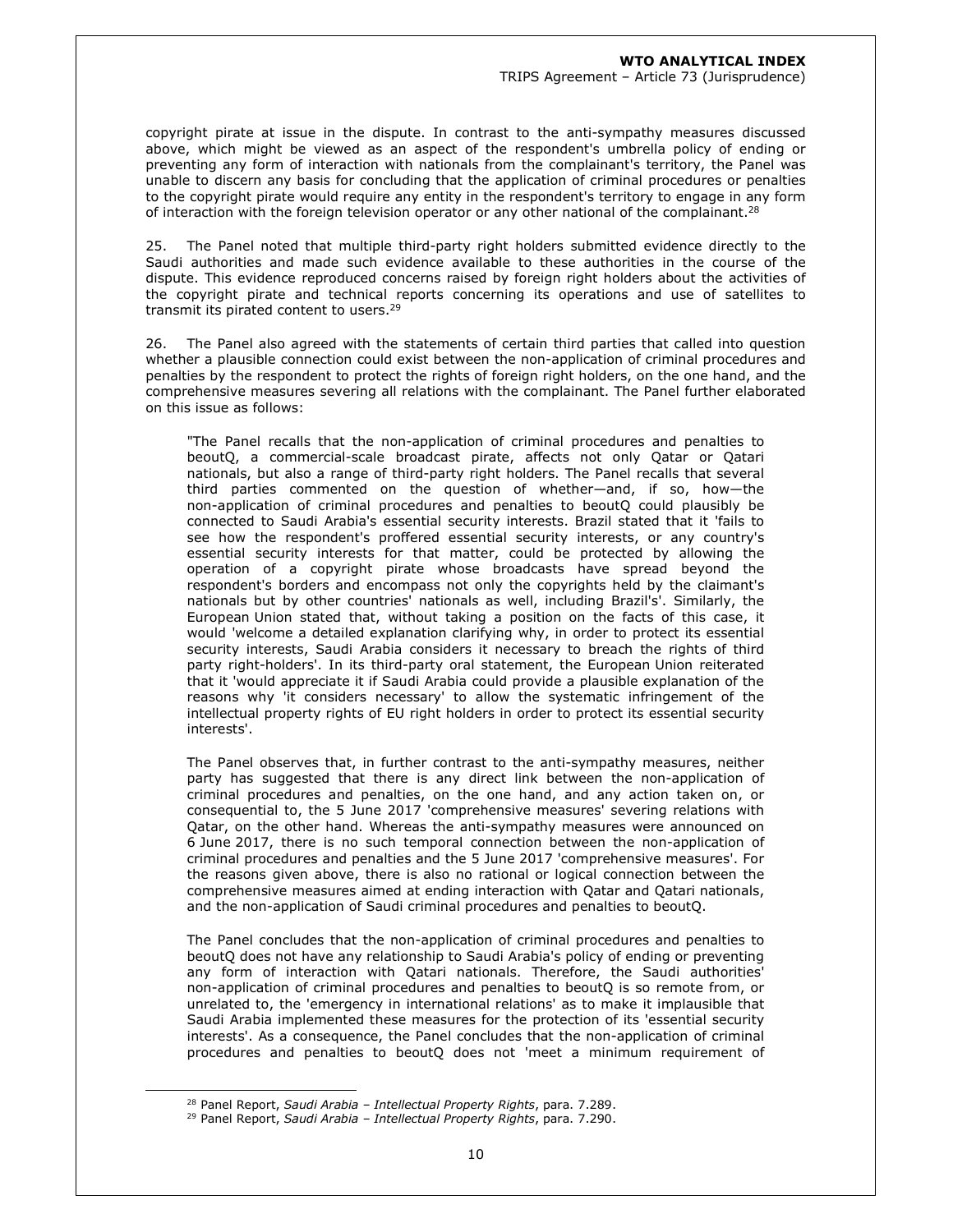copyright pirate at issue in the dispute. In contrast to the anti-sympathy measures discussed above, which might be viewed as an aspect of the respondent's umbrella policy of ending or preventing any form of interaction with nationals from the complainant's territory, the Panel was unable to discern any basis for concluding that the application of criminal procedures or penalties to the copyright pirate would require any entity in the respondent's territory to engage in any form of interaction with the foreign television operator or any other national of the complainant.<sup>28</sup>

25. The Panel noted that multiple third-party right holders submitted evidence directly to the Saudi authorities and made such evidence available to these authorities in the course of the dispute. This evidence reproduced concerns raised by foreign right holders about the activities of the copyright pirate and technical reports concerning its operations and use of satellites to transmit its pirated content to users.<sup>29</sup>

26. The Panel also agreed with the statements of certain third parties that called into question whether a plausible connection could exist between the non-application of criminal procedures and penalties by the respondent to protect the rights of foreign right holders, on the one hand, and the comprehensive measures severing all relations with the complainant. The Panel further elaborated on this issue as follows:

"The Panel recalls that the non-application of criminal procedures and penalties to beoutQ, a commercial-scale broadcast pirate, affects not only Qatar or Qatari nationals, but also a range of third-party right holders. The Panel recalls that several third parties commented on the question of whether—and, if so, how—the non-application of criminal procedures and penalties to beoutQ could plausibly be connected to Saudi Arabia's essential security interests. Brazil stated that it 'fails to see how the respondent's proffered essential security interests, or any country's essential security interests for that matter, could be protected by allowing the operation of a copyright pirate whose broadcasts have spread beyond the respondent's borders and encompass not only the copyrights held by the claimant's nationals but by other countries' nationals as well, including Brazil's'. Similarly, the European Union stated that, without taking a position on the facts of this case, it would 'welcome a detailed explanation clarifying why, in order to protect its essential security interests, Saudi Arabia considers it necessary to breach the rights of third party right-holders'. In its third-party oral statement, the European Union reiterated that it 'would appreciate it if Saudi Arabia could provide a plausible explanation of the reasons why 'it considers necessary' to allow the systematic infringement of the intellectual property rights of EU right holders in order to protect its essential security interests'.

The Panel observes that, in further contrast to the anti-sympathy measures, neither party has suggested that there is any direct link between the non-application of criminal procedures and penalties, on the one hand, and any action taken on, or consequential to, the 5 June 2017 'comprehensive measures' severing relations with Qatar, on the other hand. Whereas the anti-sympathy measures were announced on 6 June 2017, there is no such temporal connection between the non-application of criminal procedures and penalties and the 5 June 2017 'comprehensive measures'. For the reasons given above, there is also no rational or logical connection between the comprehensive measures aimed at ending interaction with Qatar and Qatari nationals, and the non-application of Saudi criminal procedures and penalties to beoutQ.

The Panel concludes that the non-application of criminal procedures and penalties to beoutQ does not have any relationship to Saudi Arabia's policy of ending or preventing any form of interaction with Qatari nationals. Therefore, the Saudi authorities' non-application of criminal procedures and penalties to beoutQ is so remote from, or unrelated to, the 'emergency in international relations' as to make it implausible that Saudi Arabia implemented these measures for the protection of its 'essential security interests'. As a consequence, the Panel concludes that the non-application of criminal procedures and penalties to beoutQ does not 'meet a minimum requirement of

<sup>28</sup> Panel Report, *Saudi Arabia – Intellectual Property Rights*, para. 7.289.

<sup>29</sup> Panel Report, *Saudi Arabia – Intellectual Property Rights*, para. 7.290.